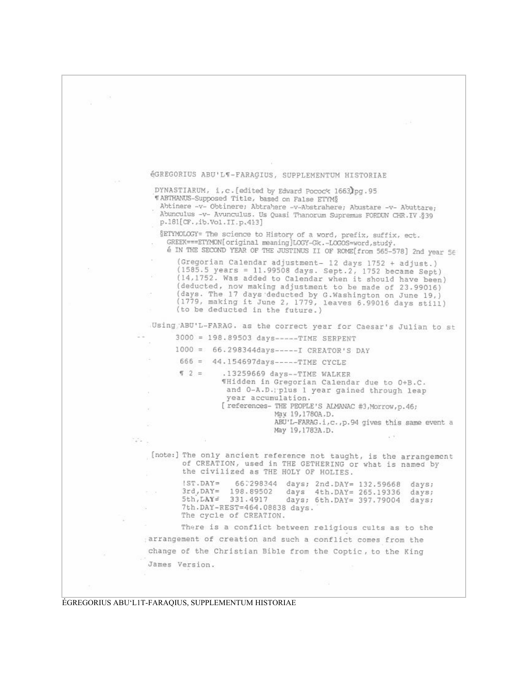

ÉGREGORIUS ABU'L1T-FARAQIUS, SUPPLEMENTUM HISTORIAE